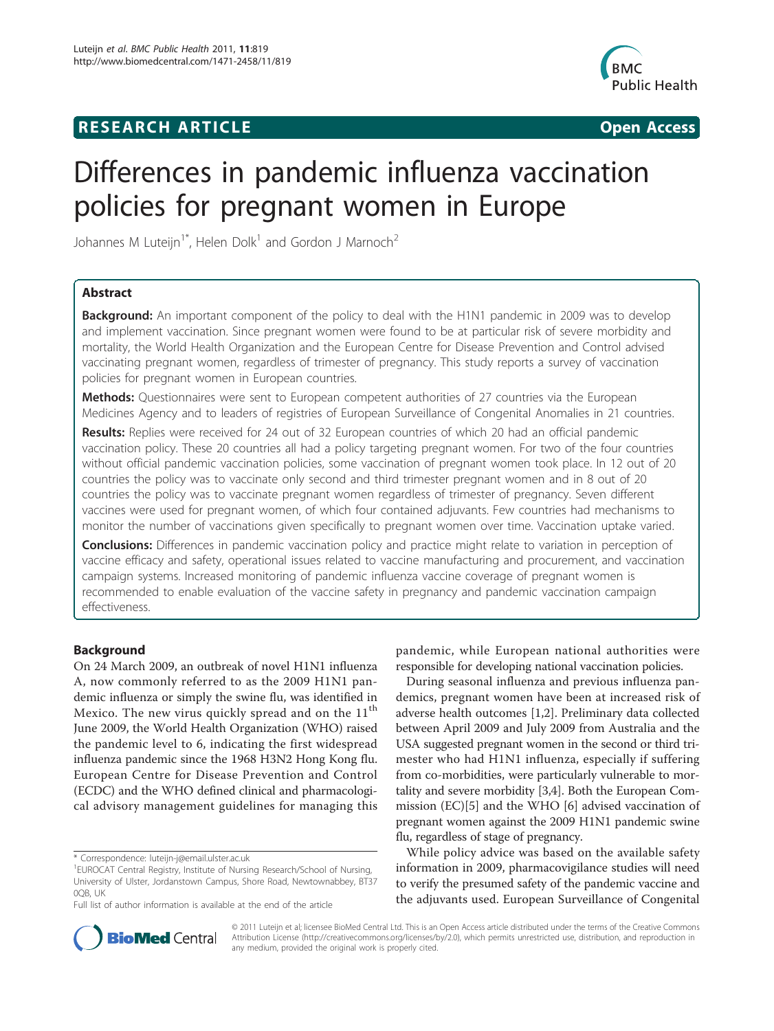## **RESEARCH ARTICLE Example 2014 CONSUMING ACCESS**



# Differences in pandemic influenza vaccination policies for pregnant women in Europe

Johannes M Luteijn<sup>1\*</sup>, Helen Dolk<sup>1</sup> and Gordon J Marnoch<sup>2</sup>

## Abstract

**Background:** An important component of the policy to deal with the H1N1 pandemic in 2009 was to develop and implement vaccination. Since pregnant women were found to be at particular risk of severe morbidity and mortality, the World Health Organization and the European Centre for Disease Prevention and Control advised vaccinating pregnant women, regardless of trimester of pregnancy. This study reports a survey of vaccination policies for pregnant women in European countries.

Methods: Questionnaires were sent to European competent authorities of 27 countries via the European Medicines Agency and to leaders of registries of European Surveillance of Congenital Anomalies in 21 countries.

Results: Replies were received for 24 out of 32 European countries of which 20 had an official pandemic vaccination policy. These 20 countries all had a policy targeting pregnant women. For two of the four countries without official pandemic vaccination policies, some vaccination of pregnant women took place. In 12 out of 20 countries the policy was to vaccinate only second and third trimester pregnant women and in 8 out of 20 countries the policy was to vaccinate pregnant women regardless of trimester of pregnancy. Seven different vaccines were used for pregnant women, of which four contained adjuvants. Few countries had mechanisms to monitor the number of vaccinations given specifically to pregnant women over time. Vaccination uptake varied.

**Conclusions:** Differences in pandemic vaccination policy and practice might relate to variation in perception of vaccine efficacy and safety, operational issues related to vaccine manufacturing and procurement, and vaccination campaign systems. Increased monitoring of pandemic influenza vaccine coverage of pregnant women is recommended to enable evaluation of the vaccine safety in pregnancy and pandemic vaccination campaign effectiveness.

## Background

On 24 March 2009, an outbreak of novel H1N1 influenza A, now commonly referred to as the 2009 H1N1 pandemic influenza or simply the swine flu, was identified in Mexico. The new virus quickly spread and on the  $11<sup>th</sup>$ June 2009, the World Health Organization (WHO) raised the pandemic level to 6, indicating the first widespread influenza pandemic since the 1968 H3N2 Hong Kong flu. European Centre for Disease Prevention and Control (ECDC) and the WHO defined clinical and pharmacological advisory management guidelines for managing this

pandemic, while European national authorities were responsible for developing national vaccination policies.

During seasonal influenza and previous influenza pandemics, pregnant women have been at increased risk of adverse health outcomes [[1,2\]](#page-7-0). Preliminary data collected between April 2009 and July 2009 from Australia and the USA suggested pregnant women in the second or third trimester who had H1N1 influenza, especially if suffering from co-morbidities, were particularly vulnerable to mortality and severe morbidity [\[3,4](#page-7-0)]. Both the European Commission (EC)[[5\]](#page-8-0) and the WHO [[6\]](#page-8-0) advised vaccination of pregnant women against the 2009 H1N1 pandemic swine flu, regardless of stage of pregnancy.

While policy advice was based on the available safety information in 2009, pharmacovigilance studies will need to verify the presumed safety of the pandemic vaccine and the adjuvants used. European Surveillance of Congenital



© 2011 Luteijn et al; licensee BioMed Central Ltd. This is an Open Access article distributed under the terms of the Creative Commons Attribution License [\(http://creativecommons.org/licenses/by/2.0](http://creativecommons.org/licenses/by/2.0)), which permits unrestricted use, distribution, and reproduction in any medium, provided the original work is properly cited.

<sup>\*</sup> Correspondence: [luteijn-j@email.ulster.ac.uk](mailto:luteijn-j@email.ulster.ac.uk)

<sup>&</sup>lt;sup>1</sup>EUROCAT Central Registry, Institute of Nursing Research/School of Nursing, University of Ulster, Jordanstown Campus, Shore Road, Newtownabbey, BT37 0QB, UK

Full list of author information is available at the end of the article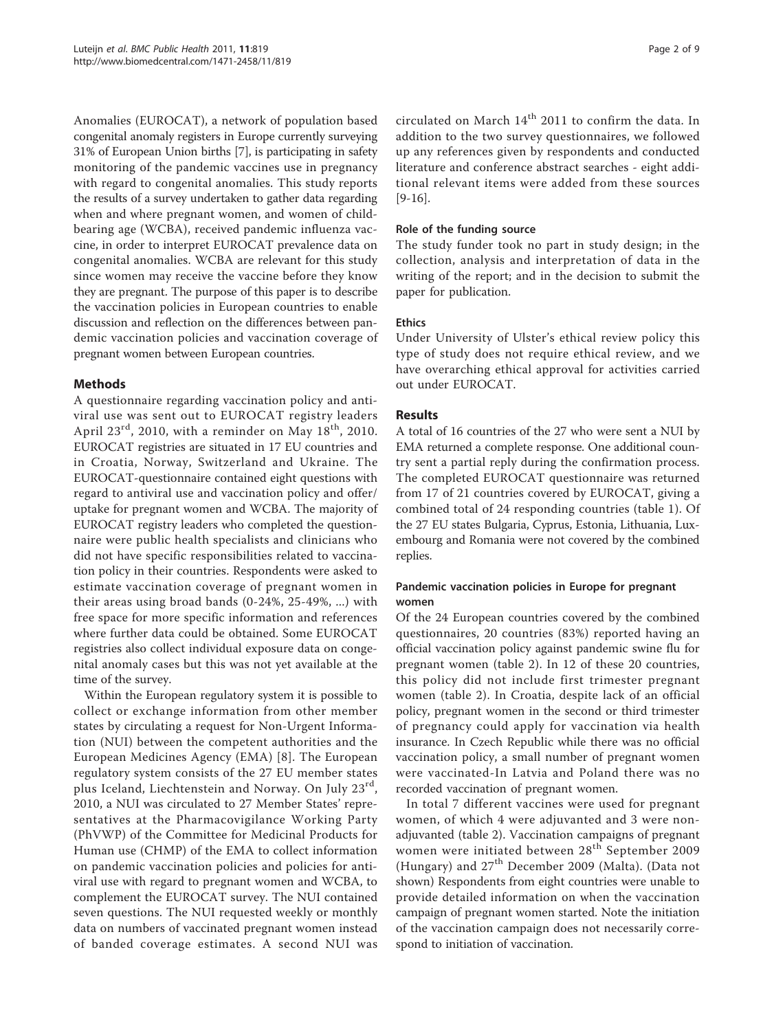Anomalies (EUROCAT), a network of population based congenital anomaly registers in Europe currently surveying 31% of European Union births [[7](#page-8-0)], is participating in safety monitoring of the pandemic vaccines use in pregnancy with regard to congenital anomalies. This study reports the results of a survey undertaken to gather data regarding when and where pregnant women, and women of childbearing age (WCBA), received pandemic influenza vaccine, in order to interpret EUROCAT prevalence data on congenital anomalies. WCBA are relevant for this study since women may receive the vaccine before they know they are pregnant. The purpose of this paper is to describe the vaccination policies in European countries to enable discussion and reflection on the differences between pandemic vaccination policies and vaccination coverage of pregnant women between European countries.

## Methods

A questionnaire regarding vaccination policy and antiviral use was sent out to EUROCAT registry leaders April  $23^{\text{rd}}$ , 2010, with a reminder on May  $18^{\text{th}}$ , 2010. EUROCAT registries are situated in 17 EU countries and in Croatia, Norway, Switzerland and Ukraine. The EUROCAT-questionnaire contained eight questions with regard to antiviral use and vaccination policy and offer/ uptake for pregnant women and WCBA. The majority of EUROCAT registry leaders who completed the questionnaire were public health specialists and clinicians who did not have specific responsibilities related to vaccination policy in their countries. Respondents were asked to estimate vaccination coverage of pregnant women in their areas using broad bands (0-24%, 25-49%, ...) with free space for more specific information and references where further data could be obtained. Some EUROCAT registries also collect individual exposure data on congenital anomaly cases but this was not yet available at the time of the survey.

Within the European regulatory system it is possible to collect or exchange information from other member states by circulating a request for Non-Urgent Information (NUI) between the competent authorities and the European Medicines Agency (EMA) [[8\]](#page-8-0). The European regulatory system consists of the 27 EU member states plus Iceland, Liechtenstein and Norway. On July 23rd, 2010, a NUI was circulated to 27 Member States' representatives at the Pharmacovigilance Working Party (PhVWP) of the Committee for Medicinal Products for Human use (CHMP) of the EMA to collect information on pandemic vaccination policies and policies for antiviral use with regard to pregnant women and WCBA, to complement the EUROCAT survey. The NUI contained seven questions. The NUI requested weekly or monthly data on numbers of vaccinated pregnant women instead of banded coverage estimates. A second NUI was circulated on March  $14<sup>th</sup>$  2011 to confirm the data. In addition to the two survey questionnaires, we followed up any references given by respondents and conducted literature and conference abstract searches - eight additional relevant items were added from these sources [[9-16](#page-8-0)].

## Role of the funding source

The study funder took no part in study design; in the collection, analysis and interpretation of data in the writing of the report; and in the decision to submit the paper for publication.

## Ethics

Under University of Ulster's ethical review policy this type of study does not require ethical review, and we have overarching ethical approval for activities carried out under EUROCAT.

## Results

A total of 16 countries of the 27 who were sent a NUI by EMA returned a complete response. One additional country sent a partial reply during the confirmation process. The completed EUROCAT questionnaire was returned from 17 of 21 countries covered by EUROCAT, giving a combined total of 24 responding countries (table [1](#page-2-0)). Of the 27 EU states Bulgaria, Cyprus, Estonia, Lithuania, Luxembourg and Romania were not covered by the combined replies.

## Pandemic vaccination policies in Europe for pregnant women

Of the 24 European countries covered by the combined questionnaires, 20 countries (83%) reported having an official vaccination policy against pandemic swine flu for pregnant women (table [2\)](#page-3-0). In 12 of these 20 countries, this policy did not include first trimester pregnant women (table [2\)](#page-3-0). In Croatia, despite lack of an official policy, pregnant women in the second or third trimester of pregnancy could apply for vaccination via health insurance. In Czech Republic while there was no official vaccination policy, a small number of pregnant women were vaccinated-In Latvia and Poland there was no recorded vaccination of pregnant women.

In total 7 different vaccines were used for pregnant women, of which 4 were adjuvanted and 3 were nonadjuvanted (table [2\)](#page-3-0). Vaccination campaigns of pregnant women were initiated between 28<sup>th</sup> September 2009 (Hungary) and 27<sup>th</sup> December 2009 (Malta). (Data not shown) Respondents from eight countries were unable to provide detailed information on when the vaccination campaign of pregnant women started. Note the initiation of the vaccination campaign does not necessarily correspond to initiation of vaccination.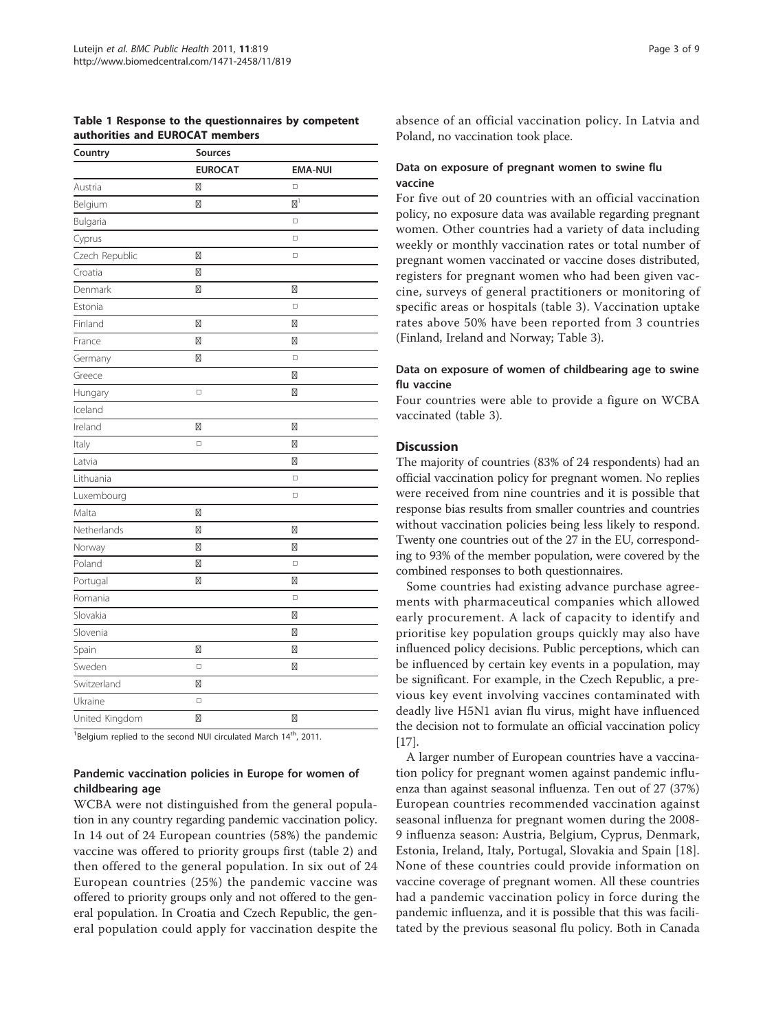<span id="page-2-0"></span>Table 1 Response to the questionnaires by competent authorities and EUROCAT members

| Country        | <b>Sources</b> |                |
|----------------|----------------|----------------|
|                | <b>EUROCAT</b> | <b>EMA-NUI</b> |
| Austria        | ⊠              | $\Box$         |
| Belgium        | X              | $\boxtimes^1$  |
| Bulgaria       |                | $\Box$         |
| Cyprus         |                | $\Box$         |
| Czech Republic | X              | $\Box$         |
| Croatia        | ⊠              |                |
| Denmark        | X              | ⊠              |
| Estonia        |                | $\Box$         |
| Finland        | ⊠              | M              |
| France         | X              | ⊠              |
| Germany        | ⊠              | $\Box$         |
| Greece         |                | M              |
| Hungary        | $\Box$         | Ø              |
| Iceland        |                |                |
| Ireland        | X              | ⊠              |
| Italy          | $\Box$         | M              |
| Latvia         |                | ⊠              |
| Lithuania      |                | $\Box$         |
| Luxembourg     |                | $\Box$         |
| Malta          | ⊠              |                |
| Netherlands    | X              | ⊠              |
| Norway         | X              | X              |
| Poland         | X              | $\Box$         |
| Portugal       | X              | ⊠              |
| Romania        |                | $\Box$         |
| Slovakia       |                | Ø              |
| Slovenia       |                | Ø              |
| Spain          | X              | X              |
| Sweden         | $\Box$         | ⊠              |
| Switzerland    | ⊠              |                |
| Ukraine        | $\Box$         |                |
| United Kingdom | ⊠              | X              |

<sup>1</sup>Belgium replied to the second NUI circulated March 14<sup>th</sup>, 2011.

### Pandemic vaccination policies in Europe for women of childbearing age

WCBA were not distinguished from the general population in any country regarding pandemic vaccination policy. In 14 out of 24 European countries (58%) the pandemic vaccine was offered to priority groups first (table [2](#page-3-0)) and then offered to the general population. In six out of 24 European countries (25%) the pandemic vaccine was offered to priority groups only and not offered to the general population. In Croatia and Czech Republic, the general population could apply for vaccination despite the absence of an official vaccination policy. In Latvia and Poland, no vaccination took place.

#### Data on exposure of pregnant women to swine flu vaccine

For five out of 20 countries with an official vaccination policy, no exposure data was available regarding pregnant women. Other countries had a variety of data including weekly or monthly vaccination rates or total number of pregnant women vaccinated or vaccine doses distributed, registers for pregnant women who had been given vaccine, surveys of general practitioners or monitoring of specific areas or hospitals (table [3](#page-4-0)). Vaccination uptake rates above 50% have been reported from 3 countries (Finland, Ireland and Norway; Table [3\)](#page-4-0).

#### Data on exposure of women of childbearing age to swine flu vaccine

Four countries were able to provide a figure on WCBA vaccinated (table [3](#page-4-0)).

#### **Discussion**

The majority of countries (83% of 24 respondents) had an official vaccination policy for pregnant women. No replies were received from nine countries and it is possible that response bias results from smaller countries and countries without vaccination policies being less likely to respond. Twenty one countries out of the 27 in the EU, corresponding to 93% of the member population, were covered by the combined responses to both questionnaires.

Some countries had existing advance purchase agreements with pharmaceutical companies which allowed early procurement. A lack of capacity to identify and prioritise key population groups quickly may also have influenced policy decisions. Public perceptions, which can be influenced by certain key events in a population, may be significant. For example, in the Czech Republic, a previous key event involving vaccines contaminated with deadly live H5N1 avian flu virus, might have influenced the decision not to formulate an official vaccination policy [[17](#page-8-0)].

A larger number of European countries have a vaccination policy for pregnant women against pandemic influenza than against seasonal influenza. Ten out of 27 (37%) European countries recommended vaccination against seasonal influenza for pregnant women during the 2008- 9 influenza season: Austria, Belgium, Cyprus, Denmark, Estonia, Ireland, Italy, Portugal, Slovakia and Spain [\[18](#page-8-0)]. None of these countries could provide information on vaccine coverage of pregnant women. All these countries had a pandemic vaccination policy in force during the pandemic influenza, and it is possible that this was facilitated by the previous seasonal flu policy. Both in Canada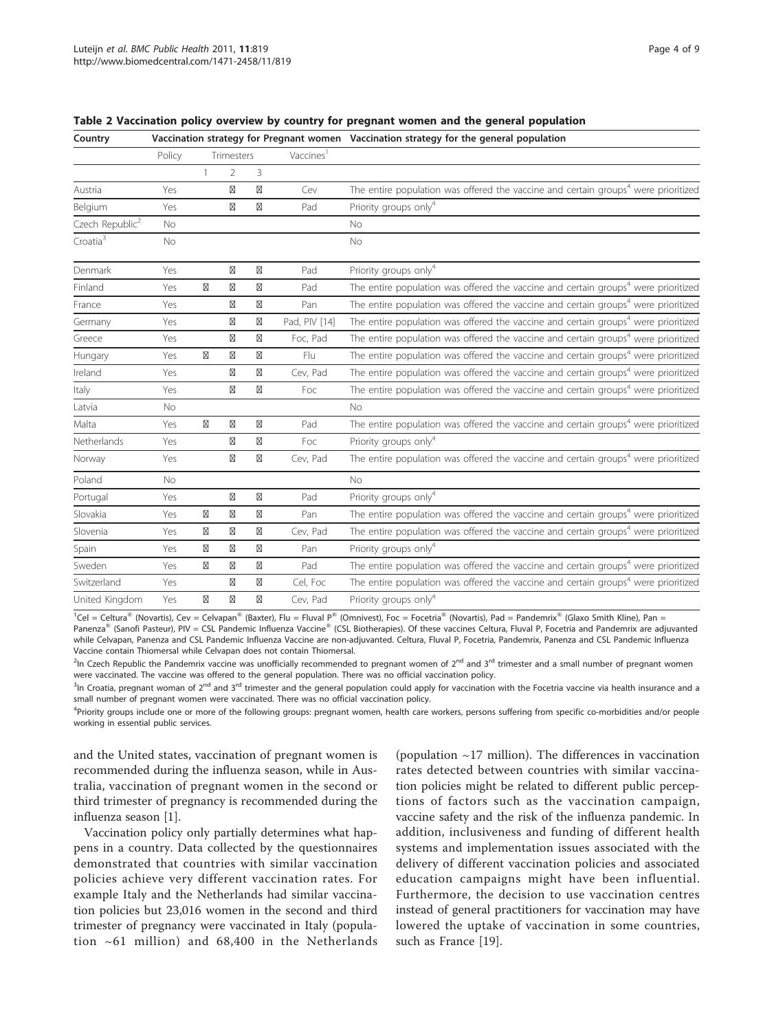| Country                     |        |              |                |   |                       | Vaccination strategy for Pregnant women Vaccination strategy for the general population        |  |
|-----------------------------|--------|--------------|----------------|---|-----------------------|------------------------------------------------------------------------------------------------|--|
|                             | Policy |              | Trimesters     |   | Vaccines <sup>1</sup> |                                                                                                |  |
|                             |        | $\mathbf{1}$ | $\overline{2}$ | 3 |                       |                                                                                                |  |
| Austria                     | Yes    |              | ⊠              | X | Cev                   | The entire population was offered the vaccine and certain groups <sup>4</sup> were prioritized |  |
| Belgium                     | Yes    |              | ⊠              | X | Pad                   | Priority groups only <sup>4</sup>                                                              |  |
| Czech Republic <sup>2</sup> | No     |              |                |   |                       | <b>No</b>                                                                                      |  |
| Croatia <sup>3</sup>        | No     |              |                |   |                       | <b>No</b>                                                                                      |  |
| Denmark                     | Yes    |              | ⊠              | ⊠ | Pad                   | Priority groups only <sup>4</sup>                                                              |  |
| Finland                     | Yes    | ⊠            | ⊠              | ⊠ | Pad                   | The entire population was offered the vaccine and certain groups <sup>4</sup> were prioritized |  |
| France                      | Yes    |              | ⊠              | X | Pan                   | The entire population was offered the vaccine and certain groups <sup>4</sup> were prioritized |  |
| Germany                     | Yes    |              | ⊠              | X | Pad, PIV [14]         | The entire population was offered the vaccine and certain groups <sup>4</sup> were prioritized |  |
| Greece                      | Yes    |              | ⊠              | X | Foc, Pad              | The entire population was offered the vaccine and certain groups <sup>4</sup> were prioritized |  |
| Hungary                     | Yes    | ⊠            | ⊠              | ⊠ | Flu                   | The entire population was offered the vaccine and certain groups <sup>4</sup> were prioritized |  |
| Ireland                     | Yes    |              | M              | ⊠ | Cev, Pad              | The entire population was offered the vaccine and certain groups <sup>4</sup> were prioritized |  |
| Italy                       | Yes    |              | X              | X | Foc                   | The entire population was offered the vaccine and certain groups <sup>4</sup> were prioritized |  |
| Latvia                      | No     |              |                |   |                       | <b>No</b>                                                                                      |  |
| Malta                       | Yes    | M            | ⊠              | ⊠ | Pad                   | The entire population was offered the vaccine and certain groups <sup>4</sup> were prioritized |  |
| Netherlands                 | Yes    |              | ⊠              | X | Foc                   | Priority groups only <sup>4</sup>                                                              |  |
| Norway                      | Yes    |              | ⊠              | Ø | Cev, Pad              | The entire population was offered the vaccine and certain groups <sup>4</sup> were prioritized |  |
| Poland                      | No     |              |                |   |                       | <b>No</b>                                                                                      |  |
| Portugal                    | Yes    |              | ⊠              | X | Pad                   | Priority groups only <sup>4</sup>                                                              |  |
| Slovakia                    | Yes    | ⊠            | ⊠              | ⊠ | Pan                   | The entire population was offered the vaccine and certain groups <sup>4</sup> were prioritized |  |
| Slovenia                    | Yes    | ⊠            | ⊠              | ⊠ | Cev, Pad              | The entire population was offered the vaccine and certain groups <sup>4</sup> were prioritized |  |
| Spain                       | Yes    | ⊠            | M              | ⊠ | Pan                   | Priority groups only <sup>4</sup>                                                              |  |
| Sweden                      | Yes    | ⊠            | ⊠              | X | Pad                   | The entire population was offered the vaccine and certain groups <sup>4</sup> were prioritized |  |
| Switzerland                 | Yes    |              | ⊠              | ⊠ | Cel, Foc              | The entire population was offered the vaccine and certain groups <sup>4</sup> were prioritized |  |
| United Kingdom              | Yes    | ⊠            | ⊠              | Ø | Cev, Pad              | Priority groups only <sup>4</sup>                                                              |  |

<span id="page-3-0"></span>Table 2 Vaccination policy overview by country for pregnant women and the general population

 ${}^{1}$ Cel = Celtura® (Novartis), Cev = Celvapan® (Baxter), Flu = Fluval P® (Omnivest), Foc = Focetria® (Novartis), Pad = Pandemrix® (Glaxo Smith Kline), Pan = Panenza® (Sanofi Pasteur), PIV = CSL Pandemic Influenza Vaccine® (CSL Biotherapies). Of these vaccines Celtura, Fluval P, Focetria and Pandemrix are adjuvanted while Celvapan, Panenza and CSL Pandemic Influenza Vaccine are non-adjuvanted. Celtura, Fluval P, Focetria, Pandemrix, Panenza and CSL Pandemic Influenza Vaccine contain Thiomersal while Celvapan does not contain Thiomersal.

<sup>2</sup>In Czech Republic the Pandemrix vaccine was unofficially recommended to pregnant women of 2<sup>nd</sup> and 3<sup>rd</sup> trimester and a small number of pregnant women were vaccinated. The vaccine was offered to the general population. There was no official vaccination policy.

<sup>3</sup>In Croatia, pregnant woman of 2<sup>nd</sup> and 3<sup>rd</sup> trimester and the general population could apply for vaccination with the Focetria vaccine via health insurance and a small number of pregnant women were vaccinated. There was no official vaccination policy.

<sup>4</sup>Priority groups include one or more of the following groups: pregnant women, health care workers, persons suffering from specific co-morbidities and/or people working in essential public services.

and the United states, vaccination of pregnant women is recommended during the influenza season, while in Australia, vaccination of pregnant women in the second or third trimester of pregnancy is recommended during the influenza season [\[1\]](#page-7-0).

Vaccination policy only partially determines what happens in a country. Data collected by the questionnaires demonstrated that countries with similar vaccination policies achieve very different vaccination rates. For example Italy and the Netherlands had similar vaccination policies but 23,016 women in the second and third trimester of pregnancy were vaccinated in Italy (population ~61 million) and 68,400 in the Netherlands

(population  $~17$  million). The differences in vaccination rates detected between countries with similar vaccination policies might be related to different public perceptions of factors such as the vaccination campaign, vaccine safety and the risk of the influenza pandemic. In addition, inclusiveness and funding of different health systems and implementation issues associated with the delivery of different vaccination policies and associated education campaigns might have been influential. Furthermore, the decision to use vaccination centres instead of general practitioners for vaccination may have lowered the uptake of vaccination in some countries, such as France [[19](#page-8-0)].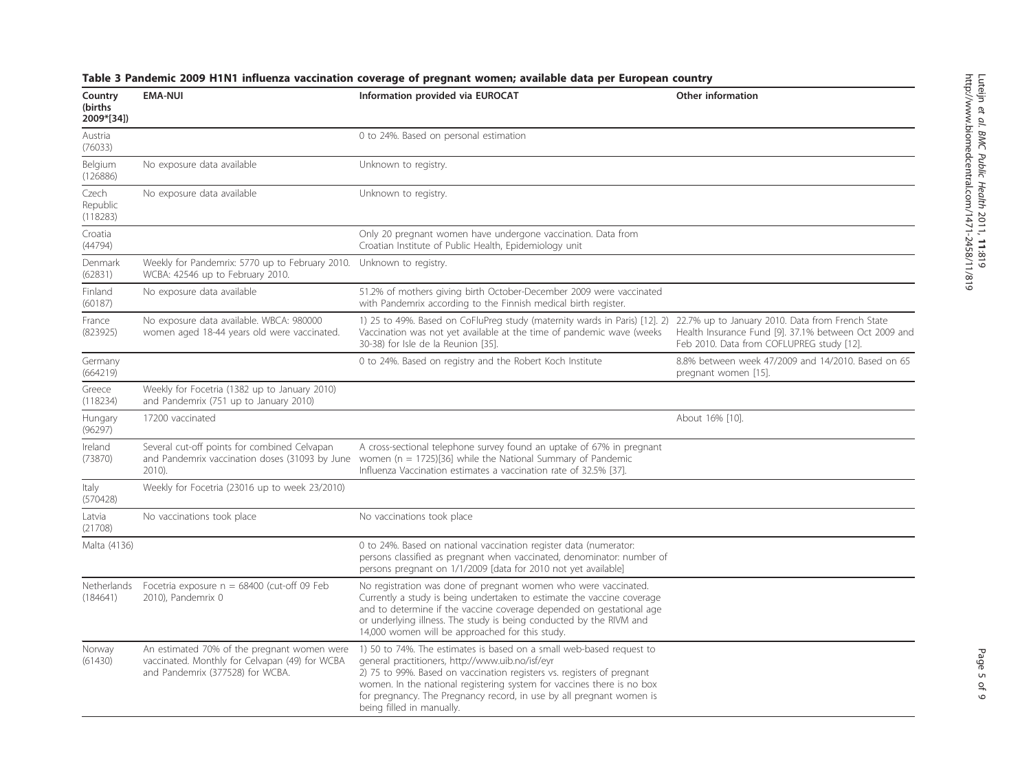| Country<br>(births<br>2009*[34]) | <b>EMA-NUI</b>                                                                                                                    | Information provided via EUROCAT                                                                                                                                                                                                                                                                                                                                                  | Other information                                                                                                                                      |
|----------------------------------|-----------------------------------------------------------------------------------------------------------------------------------|-----------------------------------------------------------------------------------------------------------------------------------------------------------------------------------------------------------------------------------------------------------------------------------------------------------------------------------------------------------------------------------|--------------------------------------------------------------------------------------------------------------------------------------------------------|
| Austria<br>(76033)               |                                                                                                                                   | 0 to 24%. Based on personal estimation                                                                                                                                                                                                                                                                                                                                            |                                                                                                                                                        |
| Belgium<br>(126886)              | No exposure data available                                                                                                        | Unknown to registry.                                                                                                                                                                                                                                                                                                                                                              |                                                                                                                                                        |
| Czech<br>Republic<br>(118283)    | No exposure data available                                                                                                        | Unknown to registry.                                                                                                                                                                                                                                                                                                                                                              |                                                                                                                                                        |
| Croatia<br>(44794)               |                                                                                                                                   | Only 20 pregnant women have undergone vaccination. Data from<br>Croatian Institute of Public Health, Epidemiology unit                                                                                                                                                                                                                                                            |                                                                                                                                                        |
| Denmark<br>(62831)               | Weekly for Pandemrix: 5770 up to February 2010. Unknown to registry.<br>WCBA: 42546 up to February 2010.                          |                                                                                                                                                                                                                                                                                                                                                                                   |                                                                                                                                                        |
| Finland<br>(60187)               | No exposure data available                                                                                                        | 51.2% of mothers giving birth October-December 2009 were vaccinated<br>with Pandemrix according to the Finnish medical birth register.                                                                                                                                                                                                                                            |                                                                                                                                                        |
| France<br>(823925)               | No exposure data available. WBCA: 980000<br>women aged 18-44 years old were vaccinated.                                           | 1) 25 to 49%. Based on CoFluPreg study (maternity wards in Paris) [12]. 2)<br>Vaccination was not yet available at the time of pandemic wave (weeks<br>30-38) for Isle de la Reunion [35].                                                                                                                                                                                        | 22.7% up to January 2010. Data from French State<br>Health Insurance Fund [9]. 37.1% between Oct 2009 and<br>Feb 2010. Data from COFLUPREG study [12]. |
| Germany<br>(664219)              |                                                                                                                                   | 0 to 24%. Based on registry and the Robert Koch Institute                                                                                                                                                                                                                                                                                                                         | 8.8% between week 47/2009 and 14/2010. Based on 65<br>pregnant women [15].                                                                             |
| Greece<br>(118234)               | Weekly for Focetria (1382 up to January 2010)<br>and Pandemrix (751 up to January 2010)                                           |                                                                                                                                                                                                                                                                                                                                                                                   |                                                                                                                                                        |
| Hungary<br>(96297)               | 17200 vaccinated                                                                                                                  |                                                                                                                                                                                                                                                                                                                                                                                   | About 16% [10].                                                                                                                                        |
| Ireland<br>(73870)               | Several cut-off points for combined Celvapan<br>2010).                                                                            | A cross-sectional telephone survey found an uptake of 67% in pregnant<br>and Pandemrix vaccination doses (31093 by June women ( $n = 1725$ )[36] while the National Summary of Pandemic<br>Influenza Vaccination estimates a vaccination rate of 32.5% [37].                                                                                                                      |                                                                                                                                                        |
| Italy<br>(570428)                | Weekly for Focetria (23016 up to week 23/2010)                                                                                    |                                                                                                                                                                                                                                                                                                                                                                                   |                                                                                                                                                        |
| Latvia<br>(21708)                | No vaccinations took place                                                                                                        | No vaccinations took place                                                                                                                                                                                                                                                                                                                                                        |                                                                                                                                                        |
| Malta (4136)                     |                                                                                                                                   | 0 to 24%. Based on national vaccination register data (numerator:<br>persons classified as pregnant when vaccinated, denominator: number of<br>persons pregnant on 1/1/2009 [data for 2010 not yet available]                                                                                                                                                                     |                                                                                                                                                        |
| Netherlands<br>(184641)          | Focetria exposure $n = 68400$ (cut-off 09 Feb<br>2010), Pandemrix 0                                                               | No registration was done of pregnant women who were vaccinated.<br>Currently a study is being undertaken to estimate the vaccine coverage<br>and to determine if the vaccine coverage depended on gestational age<br>or underlying illness. The study is being conducted by the RIVM and<br>14,000 women will be approached for this study.                                       |                                                                                                                                                        |
| Norway<br>(61430)                | An estimated 70% of the pregnant women were<br>vaccinated. Monthly for Celvapan (49) for WCBA<br>and Pandemrix (377528) for WCBA. | 1) 50 to 74%. The estimates is based on a small web-based request to<br>general practitioners, http://www.uib.no/isf/eyr<br>2) 75 to 99%. Based on vaccination registers vs. registers of pregnant<br>women. In the national registering system for vaccines there is no box<br>for pregnancy. The Pregnancy record, in use by all pregnant women is<br>being filled in manually. |                                                                                                                                                        |

### <span id="page-4-0"></span>Table 3 Pandemic 2009 H1N1 influenza vaccination coverage of pregnant women; available data per European country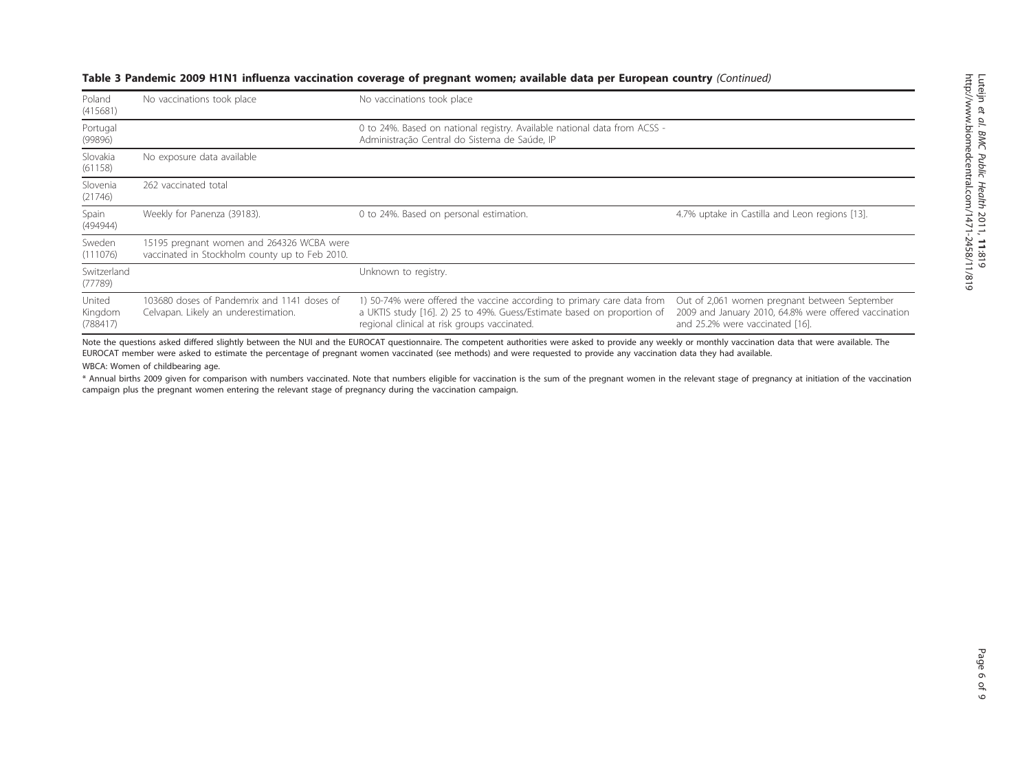#### Table 3 Pandemic 2009 H1N1 influenza vaccination coverage of pregnant women; available data per European country (Continued)

| Poland<br>(415681)            | No vaccinations took place                                                                  | No vaccinations took place                                                                                                                                                                        |                                                                                                                                           |
|-------------------------------|---------------------------------------------------------------------------------------------|---------------------------------------------------------------------------------------------------------------------------------------------------------------------------------------------------|-------------------------------------------------------------------------------------------------------------------------------------------|
| Portugal<br>(99896)           |                                                                                             | 0 to 24%. Based on national registry. Available national data from ACSS -<br>Administração Central do Sistema de Saúde, IP                                                                        |                                                                                                                                           |
| Slovakia<br>(61158)           | No exposure data available                                                                  |                                                                                                                                                                                                   |                                                                                                                                           |
| Slovenia<br>(21746)           | 262 vaccinated total                                                                        |                                                                                                                                                                                                   |                                                                                                                                           |
| Spain<br>(494944)             | Weekly for Panenza (39183).                                                                 | 0 to 24%. Based on personal estimation.                                                                                                                                                           | 4.7% uptake in Castilla and Leon regions [13].                                                                                            |
| Sweden<br>(111076)            | 15195 pregnant women and 264326 WCBA were<br>vaccinated in Stockholm county up to Feb 2010. |                                                                                                                                                                                                   |                                                                                                                                           |
| Switzerland<br>(77789)        |                                                                                             | Unknown to registry.                                                                                                                                                                              |                                                                                                                                           |
| United<br>Kingdom<br>(788417) | 103680 doses of Pandemrix and 1141 doses of<br>Celvapan. Likely an underestimation.         | 1) 50-74% were offered the vaccine according to primary care data from<br>a UKTIS study [16]. 2) 25 to 49%. Guess/Estimate based on proportion of<br>regional clinical at risk groups vaccinated. | Out of 2,061 women pregnant between September<br>2009 and January 2010, 64.8% were offered vaccination<br>and 25.2% were vaccinated [16]. |

Note the questions asked differed slightly between the NUI and the EUROCAT questionnaire. The competent authorities were asked to provide any weekly or monthly vaccination data that were available. The EUROCAT member were asked to estimate the percentage of pregnant women vaccinated (see methods) and were requested to provide any vaccination data they had available.

WBCA: Women of childbearing age.

\* Annual births 2009 given for comparison with numbers vaccinated. Note that numbers eligible for vaccination is the sum of the pregnant women in the relevant stage of pregnancy at initiation of the vaccination campaign plus the pregnant women entering the relevant stage of pregnancy during the vaccination campaign.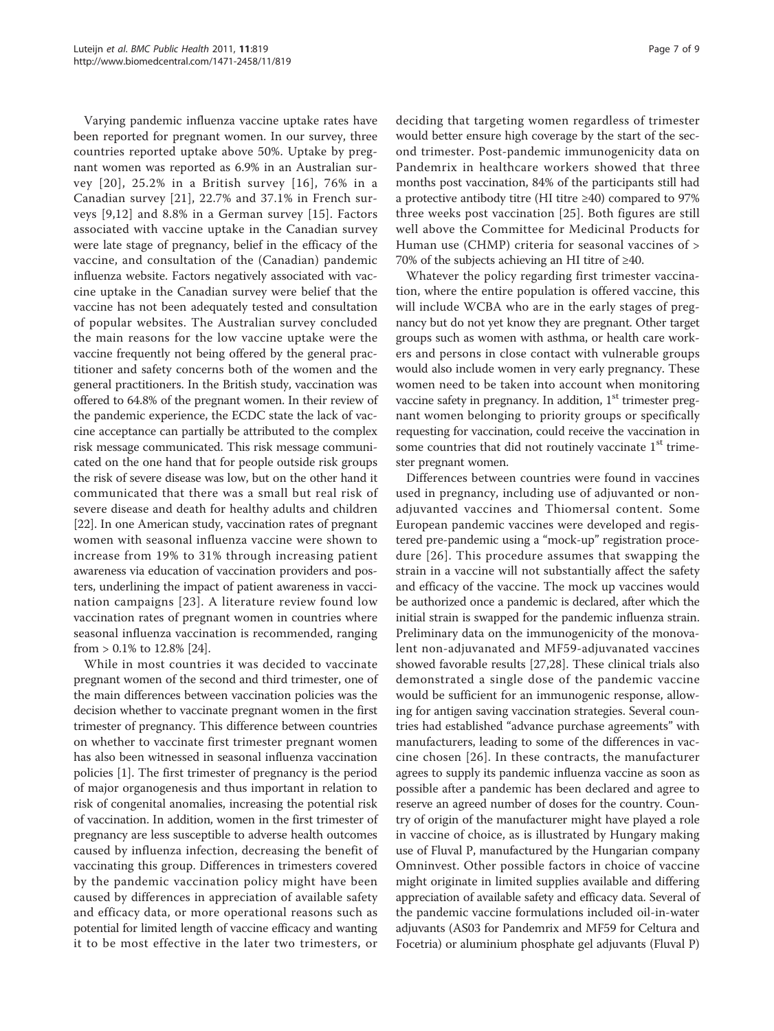Varying pandemic influenza vaccine uptake rates have been reported for pregnant women. In our survey, three countries reported uptake above 50%. Uptake by pregnant women was reported as 6.9% in an Australian survey [[20\]](#page-8-0), 25.2% in a British survey [[16\]](#page-8-0), 76% in a Canadian survey [[21](#page-8-0)], 22.7% and 37.1% in French surveys [\[9,12](#page-8-0)] and 8.8% in a German survey [\[15\]](#page-8-0). Factors associated with vaccine uptake in the Canadian survey were late stage of pregnancy, belief in the efficacy of the vaccine, and consultation of the (Canadian) pandemic influenza website. Factors negatively associated with vaccine uptake in the Canadian survey were belief that the vaccine has not been adequately tested and consultation of popular websites. The Australian survey concluded the main reasons for the low vaccine uptake were the vaccine frequently not being offered by the general practitioner and safety concerns both of the women and the general practitioners. In the British study, vaccination was offered to 64.8% of the pregnant women. In their review of the pandemic experience, the ECDC state the lack of vaccine acceptance can partially be attributed to the complex risk message communicated. This risk message communicated on the one hand that for people outside risk groups the risk of severe disease was low, but on the other hand it communicated that there was a small but real risk of severe disease and death for healthy adults and children [[22](#page-8-0)]. In one American study, vaccination rates of pregnant women with seasonal influenza vaccine were shown to increase from 19% to 31% through increasing patient awareness via education of vaccination providers and posters, underlining the impact of patient awareness in vaccination campaigns [[23](#page-8-0)]. A literature review found low vaccination rates of pregnant women in countries where seasonal influenza vaccination is recommended, ranging from > 0.1% to 12.8% [\[24\]](#page-8-0).

While in most countries it was decided to vaccinate pregnant women of the second and third trimester, one of the main differences between vaccination policies was the decision whether to vaccinate pregnant women in the first trimester of pregnancy. This difference between countries on whether to vaccinate first trimester pregnant women has also been witnessed in seasonal influenza vaccination policies [\[1](#page-7-0)]. The first trimester of pregnancy is the period of major organogenesis and thus important in relation to risk of congenital anomalies, increasing the potential risk of vaccination. In addition, women in the first trimester of pregnancy are less susceptible to adverse health outcomes caused by influenza infection, decreasing the benefit of vaccinating this group. Differences in trimesters covered by the pandemic vaccination policy might have been caused by differences in appreciation of available safety and efficacy data, or more operational reasons such as potential for limited length of vaccine efficacy and wanting it to be most effective in the later two trimesters, or

deciding that targeting women regardless of trimester would better ensure high coverage by the start of the second trimester. Post-pandemic immunogenicity data on Pandemrix in healthcare workers showed that three months post vaccination, 84% of the participants still had a protective antibody titre (HI titre ≥40) compared to 97% three weeks post vaccination [[25\]](#page-8-0). Both figures are still well above the Committee for Medicinal Products for Human use (CHMP) criteria for seasonal vaccines of > 70% of the subjects achieving an HI titre of ≥40.

Whatever the policy regarding first trimester vaccination, where the entire population is offered vaccine, this will include WCBA who are in the early stages of pregnancy but do not yet know they are pregnant. Other target groups such as women with asthma, or health care workers and persons in close contact with vulnerable groups would also include women in very early pregnancy. These women need to be taken into account when monitoring vaccine safety in pregnancy. In addition,  $1<sup>st</sup>$  trimester pregnant women belonging to priority groups or specifically requesting for vaccination, could receive the vaccination in some countries that did not routinely vaccinate  $1<sup>st</sup>$  trimester pregnant women.

Differences between countries were found in vaccines used in pregnancy, including use of adjuvanted or nonadjuvanted vaccines and Thiomersal content. Some European pandemic vaccines were developed and registered pre-pandemic using a "mock-up" registration procedure [\[26\]](#page-8-0). This procedure assumes that swapping the strain in a vaccine will not substantially affect the safety and efficacy of the vaccine. The mock up vaccines would be authorized once a pandemic is declared, after which the initial strain is swapped for the pandemic influenza strain. Preliminary data on the immunogenicity of the monovalent non-adjuvanated and MF59-adjuvanated vaccines showed favorable results [[27,28\]](#page-8-0). These clinical trials also demonstrated a single dose of the pandemic vaccine would be sufficient for an immunogenic response, allowing for antigen saving vaccination strategies. Several countries had established "advance purchase agreements" with manufacturers, leading to some of the differences in vaccine chosen [[26](#page-8-0)]. In these contracts, the manufacturer agrees to supply its pandemic influenza vaccine as soon as possible after a pandemic has been declared and agree to reserve an agreed number of doses for the country. Country of origin of the manufacturer might have played a role in vaccine of choice, as is illustrated by Hungary making use of Fluval P, manufactured by the Hungarian company Omninvest. Other possible factors in choice of vaccine might originate in limited supplies available and differing appreciation of available safety and efficacy data. Several of the pandemic vaccine formulations included oil-in-water adjuvants (AS03 for Pandemrix and MF59 for Celtura and Focetria) or aluminium phosphate gel adjuvants (Fluval P)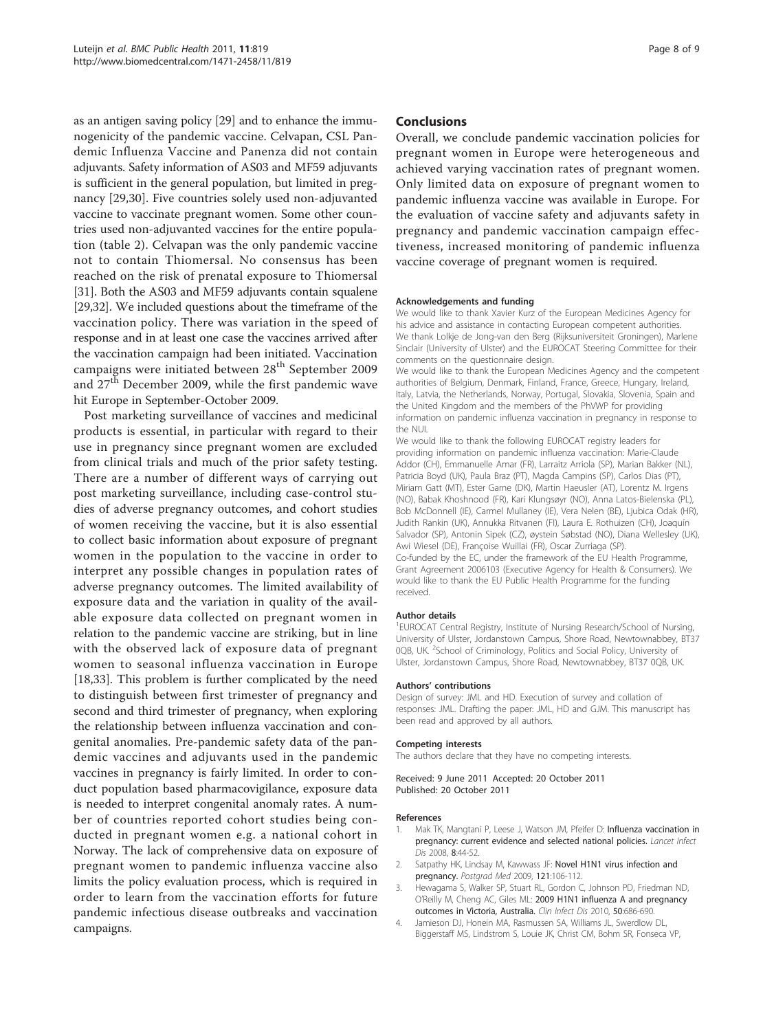<span id="page-7-0"></span>as an antigen saving policy [[29](#page-8-0)] and to enhance the immunogenicity of the pandemic vaccine. Celvapan, CSL Pandemic Influenza Vaccine and Panenza did not contain adjuvants. Safety information of AS03 and MF59 adjuvants is sufficient in the general population, but limited in pregnancy [[29,30](#page-8-0)]. Five countries solely used non-adjuvanted vaccine to vaccinate pregnant women. Some other countries used non-adjuvanted vaccines for the entire population (table [2\)](#page-3-0). Celvapan was the only pandemic vaccine not to contain Thiomersal. No consensus has been reached on the risk of prenatal exposure to Thiomersal [[31](#page-8-0)]. Both the AS03 and MF59 adjuvants contain squalene [[29,32\]](#page-8-0). We included questions about the timeframe of the vaccination policy. There was variation in the speed of response and in at least one case the vaccines arrived after the vaccination campaign had been initiated. Vaccination campaigns were initiated between 28<sup>th</sup> September 2009 and 27th December 2009, while the first pandemic wave hit Europe in September-October 2009.

Post marketing surveillance of vaccines and medicinal products is essential, in particular with regard to their use in pregnancy since pregnant women are excluded from clinical trials and much of the prior safety testing. There are a number of different ways of carrying out post marketing surveillance, including case-control studies of adverse pregnancy outcomes, and cohort studies of women receiving the vaccine, but it is also essential to collect basic information about exposure of pregnant women in the population to the vaccine in order to interpret any possible changes in population rates of adverse pregnancy outcomes. The limited availability of exposure data and the variation in quality of the available exposure data collected on pregnant women in relation to the pandemic vaccine are striking, but in line with the observed lack of exposure data of pregnant women to seasonal influenza vaccination in Europe [[18,33\]](#page-8-0). This problem is further complicated by the need to distinguish between first trimester of pregnancy and second and third trimester of pregnancy, when exploring the relationship between influenza vaccination and congenital anomalies. Pre-pandemic safety data of the pandemic vaccines and adjuvants used in the pandemic vaccines in pregnancy is fairly limited. In order to conduct population based pharmacovigilance, exposure data is needed to interpret congenital anomaly rates. A number of countries reported cohort studies being conducted in pregnant women e.g. a national cohort in Norway. The lack of comprehensive data on exposure of pregnant women to pandemic influenza vaccine also limits the policy evaluation process, which is required in order to learn from the vaccination efforts for future pandemic infectious disease outbreaks and vaccination campaigns.

#### Conclusions

Overall, we conclude pandemic vaccination policies for pregnant women in Europe were heterogeneous and achieved varying vaccination rates of pregnant women. Only limited data on exposure of pregnant women to pandemic influenza vaccine was available in Europe. For the evaluation of vaccine safety and adjuvants safety in pregnancy and pandemic vaccination campaign effectiveness, increased monitoring of pandemic influenza vaccine coverage of pregnant women is required.

#### Acknowledgements and funding

We would like to thank Xavier Kurz of the European Medicines Agency for his advice and assistance in contacting European competent authorities. We thank Lolkje de Jong-van den Berg (Rijksuniversiteit Groningen), Marlene Sinclair (University of Ulster) and the EUROCAT Steering Committee for their comments on the questionnaire design.

We would like to thank the European Medicines Agency and the competent authorities of Belgium, Denmark, Finland, France, Greece, Hungary, Ireland, Italy, Latvia, the Netherlands, Norway, Portugal, Slovakia, Slovenia, Spain and the United Kingdom and the members of the PhVWP for providing information on pandemic influenza vaccination in pregnancy in response to the NUI.

We would like to thank the following EUROCAT registry leaders for providing information on pandemic influenza vaccination: Marie-Claude Addor (CH), Emmanuelle Amar (FR), Larraitz Arriola (SP), Marian Bakker (NL), Patricia Boyd (UK), Paula Braz (PT), Magda Campins (SP), Carlos Dias (PT), Miriam Gatt (MT), Ester Garne (DK), Martin Haeusler (AT), Lorentz M. Irgens (NO), Babak Khoshnood (FR), Kari Klungsøyr (NO), Anna Latos-Bielenska (PL), Bob McDonnell (IE), Carmel Mullaney (IE), Vera Nelen (BE), Ljubica Odak (HR), Judith Rankin (UK), Annukka Ritvanen (FI), Laura E. Rothuizen (CH), Joaquín Salvador (SP), Antonin Sipek (CZ), øystein Søbstad (NO), Diana Wellesley (UK), Awi Wiesel (DE), Françoise Wuillai (FR), Oscar Zurriaga (SP). Co-funded by the EC, under the framework of the EU Health Programme, Grant Agreement 2006103 (Executive Agency for Health & Consumers). We would like to thank the EU Public Health Programme for the funding received.

#### Author details

<sup>1</sup>EUROCAT Central Registry, Institute of Nursing Research/School of Nursing, University of Ulster, Jordanstown Campus, Shore Road, Newtownabbey, BT37 0QB, UK.<sup>2</sup>School of Criminology, Politics and Social Policy, University of Ulster, Jordanstown Campus, Shore Road, Newtownabbey, BT37 0QB, UK.

#### Authors' contributions

Design of survey: JML and HD. Execution of survey and collation of responses: JML. Drafting the paper: JML, HD and GJM. This manuscript has been read and approved by all authors.

#### Competing interests

The authors declare that they have no competing interests.

Received: 9 June 2011 Accepted: 20 October 2011 Published: 20 October 2011

#### References

- Mak TK, Mangtani P, Leese J, Watson JM, Pfeifer D: [Influenza vaccination in](http://www.ncbi.nlm.nih.gov/pubmed/18156088?dopt=Abstract) [pregnancy: current evidence and selected national policies.](http://www.ncbi.nlm.nih.gov/pubmed/18156088?dopt=Abstract) Lancet Infect Dis 2008, 8:44-52.
- 2. Satpathy HK, Lindsay M, Kawwass JF: [Novel H1N1 virus infection and](http://www.ncbi.nlm.nih.gov/pubmed/19940421?dopt=Abstract) [pregnancy.](http://www.ncbi.nlm.nih.gov/pubmed/19940421?dopt=Abstract) Postgrad Med 2009, 121:106-112.
- 3. Hewagama S, Walker SP, Stuart RL, Gordon C, Johnson PD, Friedman ND, O'Reilly M, Cheng AC, Giles ML: [2009 H1N1 influenza A and pregnancy](http://www.ncbi.nlm.nih.gov/pubmed/20100064?dopt=Abstract) [outcomes in Victoria, Australia.](http://www.ncbi.nlm.nih.gov/pubmed/20100064?dopt=Abstract) Clin Infect Dis 2010, 50:686-690.
- 4. Jamieson DJ, Honein MA, Rasmussen SA, Williams JL, Swerdlow DL, Biggerstaff MS, Lindstrom S, Louie JK, Christ CM, Bohm SR, Fonseca VP,